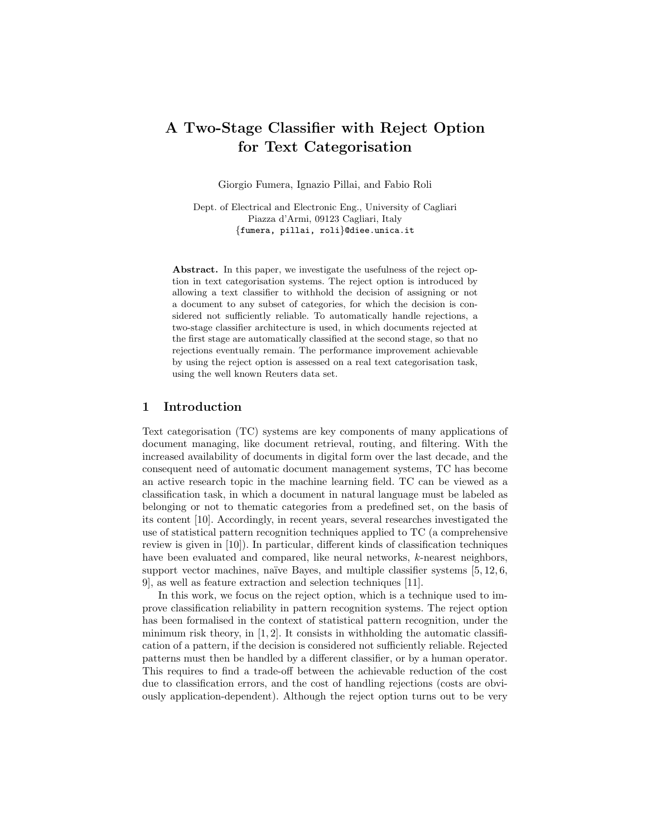# A Two-Stage Classifier with Reject Option for Text Categorisation

Giorgio Fumera, Ignazio Pillai, and Fabio Roli

Dept. of Electrical and Electronic Eng., University of Cagliari Piazza d'Armi, 09123 Cagliari, Italy {fumera, pillai, roli}@diee.unica.it

Abstract. In this paper, we investigate the usefulness of the reject option in text categorisation systems. The reject option is introduced by allowing a text classifier to withhold the decision of assigning or not a document to any subset of categories, for which the decision is considered not sufficiently reliable. To automatically handle rejections, a two-stage classifier architecture is used, in which documents rejected at the first stage are automatically classified at the second stage, so that no rejections eventually remain. The performance improvement achievable by using the reject option is assessed on a real text categorisation task, using the well known Reuters data set.

# 1 Introduction

Text categorisation (TC) systems are key components of many applications of document managing, like document retrieval, routing, and filtering. With the increased availability of documents in digital form over the last decade, and the consequent need of automatic document management systems, TC has become an active research topic in the machine learning field. TC can be viewed as a classification task, in which a document in natural language must be labeled as belonging or not to thematic categories from a predefined set, on the basis of its content [10]. Accordingly, in recent years, several researches investigated the use of statistical pattern recognition techniques applied to TC (a comprehensive review is given in [10]). In particular, different kinds of classification techniques have been evaluated and compared, like neural networks, k-nearest neighbors, support vector machines, naïve Bayes, and multiple classifier systems  $[5, 12, 6,$ 9], as well as feature extraction and selection techniques [11].

In this work, we focus on the reject option, which is a technique used to improve classification reliability in pattern recognition systems. The reject option has been formalised in the context of statistical pattern recognition, under the minimum risk theory, in  $[1, 2]$ . It consists in withholding the automatic classification of a pattern, if the decision is considered not sufficiently reliable. Rejected patterns must then be handled by a different classifier, or by a human operator. This requires to find a trade-off between the achievable reduction of the cost due to classification errors, and the cost of handling rejections (costs are obviously application-dependent). Although the reject option turns out to be very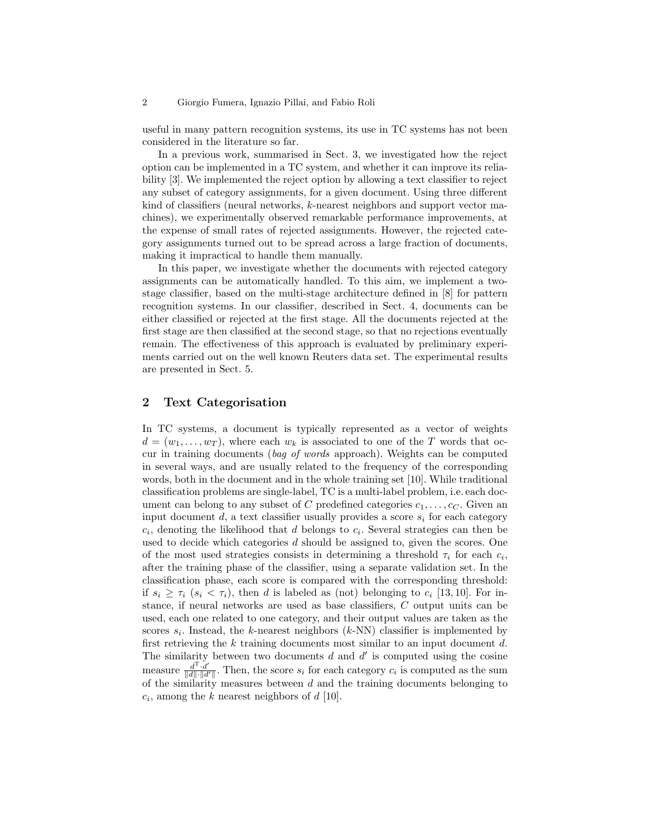#### 2 Giorgio Fumera, Ignazio Pillai, and Fabio Roli

useful in many pattern recognition systems, its use in TC systems has not been considered in the literature so far.

In a previous work, summarised in Sect. 3, we investigated how the reject option can be implemented in a TC system, and whether it can improve its reliability [3]. We implemented the reject option by allowing a text classifier to reject any subset of category assignments, for a given document. Using three different kind of classifiers (neural networks, k-nearest neighbors and support vector machines), we experimentally observed remarkable performance improvements, at the expense of small rates of rejected assignments. However, the rejected category assignments turned out to be spread across a large fraction of documents, making it impractical to handle them manually.

In this paper, we investigate whether the documents with rejected category assignments can be automatically handled. To this aim, we implement a twostage classifier, based on the multi-stage architecture defined in [8] for pattern recognition systems. In our classifier, described in Sect. 4, documents can be either classified or rejected at the first stage. All the documents rejected at the first stage are then classified at the second stage, so that no rejections eventually remain. The effectiveness of this approach is evaluated by preliminary experiments carried out on the well known Reuters data set. The experimental results are presented in Sect. 5.

# 2 Text Categorisation

In TC systems, a document is typically represented as a vector of weights  $d = (w_1, \ldots, w_T)$ , where each  $w_k$  is associated to one of the T words that occur in training documents (bag of words approach). Weights can be computed in several ways, and are usually related to the frequency of the corresponding words, both in the document and in the whole training set [10]. While traditional classification problems are single-label, TC is a multi-label problem, i.e. each document can belong to any subset of C predefined categories  $c_1, \ldots, c_C$ . Given an input document d, a text classifier usually provides a score  $s_i$  for each category  $c_i$ , denoting the likelihood that d belongs to  $c_i$ . Several strategies can then be used to decide which categories d should be assigned to, given the scores. One of the most used strategies consists in determining a threshold  $\tau_i$  for each  $c_i$ , after the training phase of the classifier, using a separate validation set. In the classification phase, each score is compared with the corresponding threshold: if  $s_i \geq \tau_i$   $(s_i < \tau_i)$ , then d is labeled as (not) belonging to  $c_i$  [13, 10]. For instance, if neural networks are used as base classifiers, C output units can be used, each one related to one category, and their output values are taken as the scores  $s_i$ . Instead, the k-nearest neighbors (k-NN) classifier is implemented by first retrieving the  $k$  training documents most similar to an input document  $d$ . The similarity between two documents  $d$  and  $d'$  is computed using the cosine measure  $\frac{d^{\mathrm{T}} \cdot d'}{\|d\| \cdot \|d\|}$  $\frac{d^4 \cdot d}{\|d\| \cdot \|d'\|}$ . Then, the score  $s_i$  for each category  $c_i$  is computed as the sum of the similarity measures between  $d$  and the training documents belonging to  $c_i$ , among the k nearest neighbors of  $d$  [10].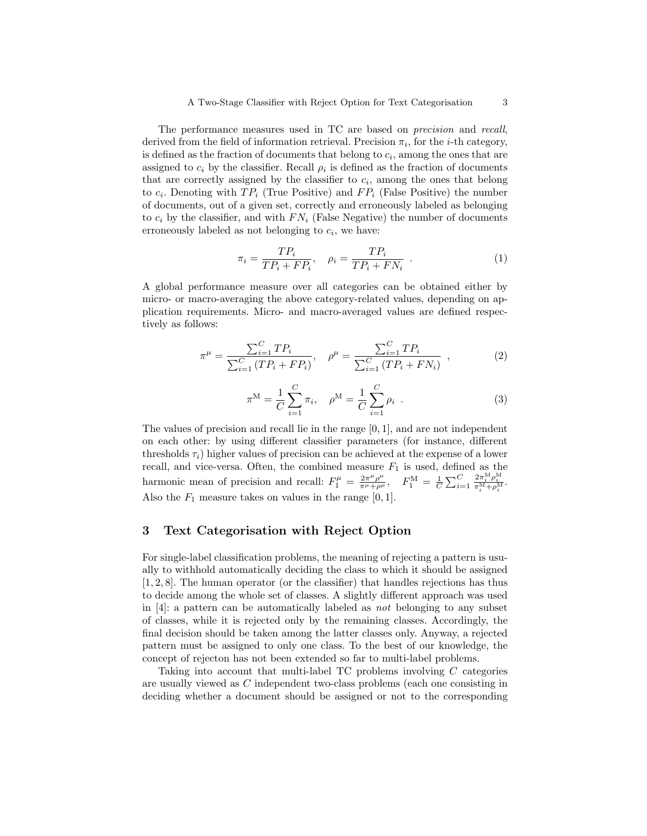The performance measures used in TC are based on precision and recall, derived from the field of information retrieval. Precision  $\pi_i$ , for the *i*-th category, is defined as the fraction of documents that belong to  $c_i$ , among the ones that are assigned to  $c_i$  by the classifier. Recall  $\rho_i$  is defined as the fraction of documents that are correctly assigned by the classifier to  $c_i$ , among the ones that belong to  $c_i$ . Denoting with  $TP_i$  (True Positive) and  $FP_i$  (False Positive) the number of documents, out of a given set, correctly and erroneously labeled as belonging to  $c_i$  by the classifier, and with  $FN_i$  (False Negative) the number of documents erroneously labeled as not belonging to  $c_i$ , we have:

$$
\pi_i = \frac{TP_i}{TP_i + FP_i}, \quad \rho_i = \frac{TP_i}{TP_i + FN_i} \tag{1}
$$

A global performance measure over all categories can be obtained either by micro- or macro-averaging the above category-related values, depending on application requirements. Micro- and macro-averaged values are defined respectively as follows:

$$
\pi^{\mu} = \frac{\sum_{i=1}^{C} TP_i}{\sum_{i=1}^{C} (TP_i + FP_i)}, \quad \rho^{\mu} = \frac{\sum_{i=1}^{C} TP_i}{\sum_{i=1}^{C} (TP_i + FN_i)}, \quad (2)
$$

$$
\pi^{\mathcal{M}} = \frac{1}{C} \sum_{i=1}^{C} \pi_i, \quad \rho^{\mathcal{M}} = \frac{1}{C} \sum_{i=1}^{C} \rho_i \quad .
$$
 (3)

The values of precision and recall lie in the range  $[0, 1]$ , and are not independent on each other: by using different classifier parameters (for instance, different thresholds  $\tau_i$ ) higher values of precision can be achieved at the expense of a lower recall, and vice-versa. Often, the combined measure  $F_1$  is used, defined as the harmonic mean of precision and recall:  $F_1^{\mu} = \frac{2\pi^{\mu} \rho^{\mu}}{\pi^{\mu} + \rho^{\mu}}, \quad F_1^{\text{M}} = \frac{1}{C} \sum_{i=1}^{C}$  $\frac{2\pi_i^{\mathrm{M}}\rho_i^{\mathrm{M}}}{\pi_i^{\mathrm{M}}+\rho_i^{\mathrm{M}}}.$ Also the  $F_1$  measure takes on values in the range  $[0, 1]$ .

#### 3 Text Categorisation with Reject Option

For single-label classification problems, the meaning of rejecting a pattern is usually to withhold automatically deciding the class to which it should be assigned [1, 2, 8]. The human operator (or the classifier) that handles rejections has thus to decide among the whole set of classes. A slightly different approach was used in [4]: a pattern can be automatically labeled as not belonging to any subset of classes, while it is rejected only by the remaining classes. Accordingly, the final decision should be taken among the latter classes only. Anyway, a rejected pattern must be assigned to only one class. To the best of our knowledge, the concept of rejecton has not been extended so far to multi-label problems.

Taking into account that multi-label TC problems involving C categories are usually viewed as C independent two-class problems (each one consisting in deciding whether a document should be assigned or not to the corresponding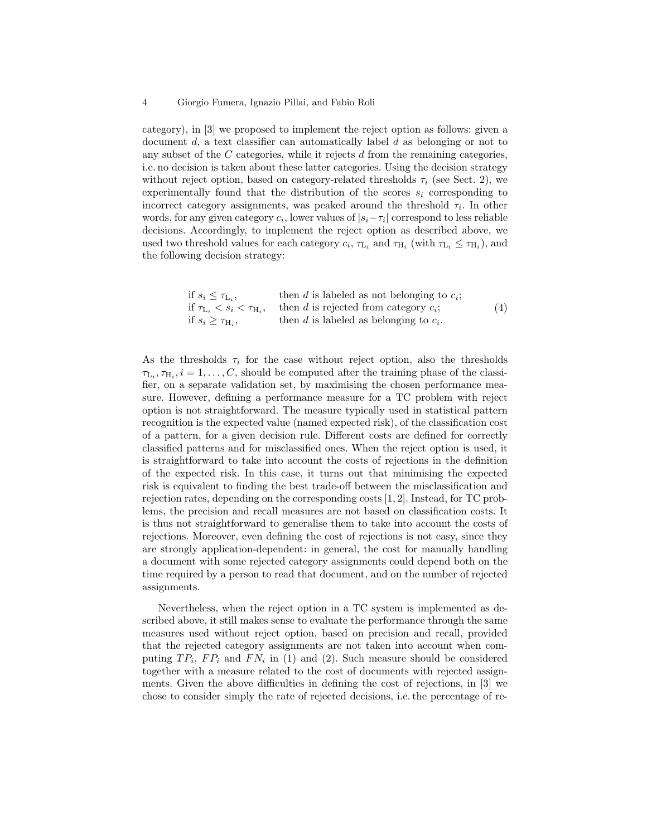category), in [3] we proposed to implement the reject option as follows: given a document  $d$ , a text classifier can automatically label  $d$  as belonging or not to any subset of the  $C$  categories, while it rejects  $d$  from the remaining categories, i.e. no decision is taken about these latter categories. Using the decision strategy without reject option, based on category-related thresholds  $\tau_i$  (see Sect. 2), we experimentally found that the distribution of the scores  $s_i$  corresponding to incorrect category assignments, was peaked around the threshold  $\tau_i$ . In other words, for any given category  $c_i$ , lower values of  $|s_i - \tau_i|$  correspond to less reliable decisions. Accordingly, to implement the reject option as described above, we used two threshold values for each category  $c_i$ ,  $\tau_{\text{L}_i}$  and  $\tau_{\text{H}_i}$  (with  $\tau_{\text{L}_i} \leq \tau_{\text{H}_i}$ ), and the following decision strategy:

if 
$$
s_i \leq \tau_{L_i}
$$
, then *d* is labeled as not belonging to  $c_i$ ;  
if  $\tau_{L_i} < s_i < \tau_{H_i}$ , then *d* is rejected from category  $c_i$ ;  
if  $s_i \geq \tau_{H_i}$ , then *d* is labeled as belonging to  $c_i$ . (4)

As the thresholds  $\tau_i$  for the case without reject option, also the thresholds  $\tau_{\text{L}_i}, \tau_{\text{H}_i}, i = 1, \ldots, C$ , should be computed after the training phase of the classifier, on a separate validation set, by maximising the chosen performance measure. However, defining a performance measure for a TC problem with reject option is not straightforward. The measure typically used in statistical pattern recognition is the expected value (named expected risk), of the classification cost of a pattern, for a given decision rule. Different costs are defined for correctly classified patterns and for misclassified ones. When the reject option is used, it is straightforward to take into account the costs of rejections in the definition of the expected risk. In this case, it turns out that minimising the expected risk is equivalent to finding the best trade-off between the misclassification and rejection rates, depending on the corresponding costs [1, 2]. Instead, for TC problems, the precision and recall measures are not based on classification costs. It is thus not straightforward to generalise them to take into account the costs of rejections. Moreover, even defining the cost of rejections is not easy, since they are strongly application-dependent: in general, the cost for manually handling a document with some rejected category assignments could depend both on the time required by a person to read that document, and on the number of rejected assignments.

Nevertheless, when the reject option in a TC system is implemented as described above, it still makes sense to evaluate the performance through the same measures used without reject option, based on precision and recall, provided that the rejected category assignments are not taken into account when computing  $TP_i$ ,  $FP_i$  and  $FN_i$  in (1) and (2). Such measure should be considered together with a measure related to the cost of documents with rejected assignments. Given the above difficulties in defining the cost of rejections, in [3] we chose to consider simply the rate of rejected decisions, i.e. the percentage of re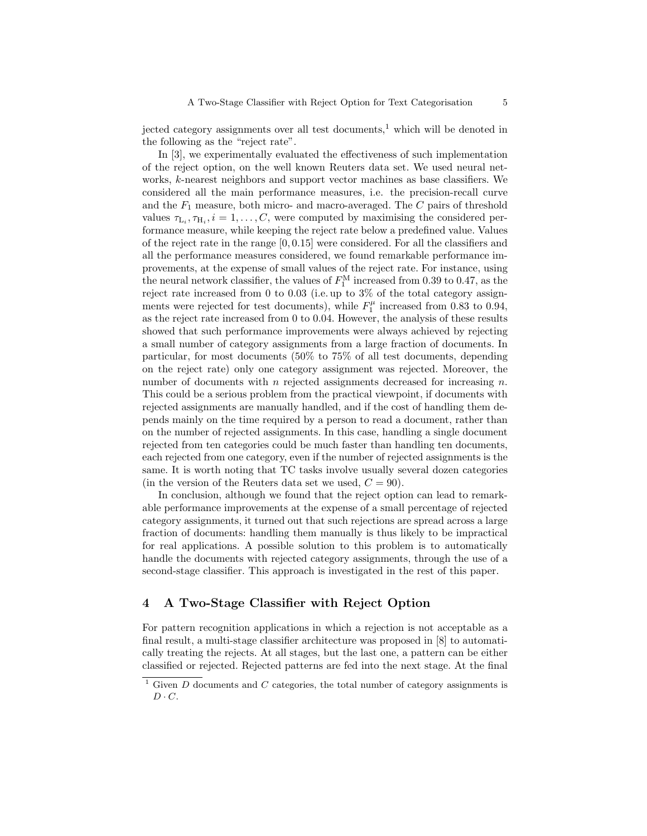jected category assignments over all test documents,<sup>1</sup> which will be denoted in the following as the "reject rate".

In [3], we experimentally evaluated the effectiveness of such implementation of the reject option, on the well known Reuters data set. We used neural networks, k-nearest neighbors and support vector machines as base classifiers. We considered all the main performance measures, i.e. the precision-recall curve and the  $F_1$  measure, both micro- and macro-averaged. The  $C$  pairs of threshold values  $\tau_{\text{L}_i}, \tau_{\text{H}_i}, i = 1, \dots, C$ , were computed by maximising the considered performance measure, while keeping the reject rate below a predefined value. Values of the reject rate in the range [0, 0.15] were considered. For all the classifiers and all the performance measures considered, we found remarkable performance improvements, at the expense of small values of the reject rate. For instance, using the neural network classifier, the values of  $F_1^{\text{M}}$  increased from 0.39 to 0.47, as the reject rate increased from 0 to 0.03 (i.e. up to 3% of the total category assignments were rejected for test documents), while  $F_1^{\mu}$  increased from 0.83 to 0.94, as the reject rate increased from 0 to 0.04. However, the analysis of these results showed that such performance improvements were always achieved by rejecting a small number of category assignments from a large fraction of documents. In particular, for most documents (50% to 75% of all test documents, depending on the reject rate) only one category assignment was rejected. Moreover, the number of documents with  $n$  rejected assignments decreased for increasing  $n$ . This could be a serious problem from the practical viewpoint, if documents with rejected assignments are manually handled, and if the cost of handling them depends mainly on the time required by a person to read a document, rather than on the number of rejected assignments. In this case, handling a single document rejected from ten categories could be much faster than handling ten documents, each rejected from one category, even if the number of rejected assignments is the same. It is worth noting that TC tasks involve usually several dozen categories (in the version of the Reuters data set we used,  $C = 90$ ).

In conclusion, although we found that the reject option can lead to remarkable performance improvements at the expense of a small percentage of rejected category assignments, it turned out that such rejections are spread across a large fraction of documents: handling them manually is thus likely to be impractical for real applications. A possible solution to this problem is to automatically handle the documents with rejected category assignments, through the use of a second-stage classifier. This approach is investigated in the rest of this paper.

# 4 A Two-Stage Classifier with Reject Option

For pattern recognition applications in which a rejection is not acceptable as a final result, a multi-stage classifier architecture was proposed in [8] to automatically treating the rejects. At all stages, but the last one, a pattern can be either classified or rejected. Rejected patterns are fed into the next stage. At the final

<sup>&</sup>lt;sup>1</sup> Given D documents and C categories, the total number of category assignments is  $D \cdot C$ .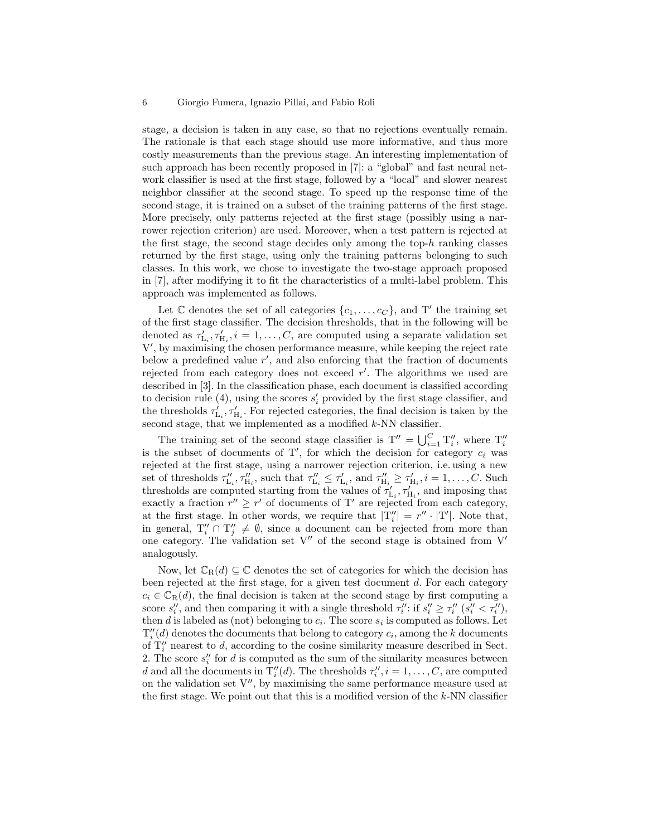stage, a decision is taken in any case, so that no rejections eventually remain. The rationale is that each stage should use more informative, and thus more costly measurements than the previous stage. An interesting implementation of such approach has been recently proposed in [7]: a "global" and fast neural network classifier is used at the first stage, followed by a "local" and slower nearest neighbor classifier at the second stage. To speed up the response time of the second stage, it is trained on a subset of the training patterns of the first stage. More precisely, only patterns rejected at the first stage (possibly using a narrower rejection criterion) are used. Moreover, when a test pattern is rejected at the first stage, the second stage decides only among the top- $h$  ranking classes returned by the first stage, using only the training patterns belonging to such classes. In this work, we chose to investigate the two-stage approach proposed in [7], after modifying it to fit the characteristics of a multi-label problem. This approach was implemented as follows.

Let C denotes the set of all categories  $\{c_1, \ldots, c_C\}$ , and T' the training set of the first stage classifier. The decision thresholds, that in the following will be denoted as  $\tau'_{L_i}, \tau'_{H_i}, i = 1, \ldots, C$ , are computed using a separate validation set  $V'$ , by maximising the chosen performance measure, while keeping the reject rate below a predefined value  $r'$ , and also enforcing that the fraction of documents rejected from each category does not exceed  $r'$ . The algorithms we used are described in [3]. In the classification phase, each document is classified according to decision rule (4), using the scores  $s_i'$  provided by the first stage classifier, and the thresholds  $\tau'_{\text{L}_i}, \tau'_{\text{H}_i}$ . For rejected categories, the final decision is taken by the second stage, that we implemented as a modified  $k$ -NN classifier.

The training set of the second stage classifier is  $T'' = \bigcup_{i=1}^{C} T''_i$ , where  $T''_i$ is the subset of documents of  $T'$ , for which the decision for category  $c_i$  was rejected at the first stage, using a narrower rejection criterion, i.e. using a new set of thresholds  $\tau''_{L_i}, \tau''_{H_i}$ , such that  $\tau''_{L_i} \leq \tau'_{L_i}$ , and  $\tau''_{H_i} \geq \tau'_{H_i}, i = 1, \ldots, C$ . Such thresholds are computed starting from the values of  $\tau'_{L_i}, \tau'_{H_i}$ , and imposing that exactly a fraction  $r'' \geq r'$  of documents of T' are rejected from each category, at the first stage. In other words, we require that  $|T''_i| = r'' \cdot |T'|$ . Note that, in general,  $T''_i \cap T''_j \neq \emptyset$ , since a document can be rejected from more than one category. The validation set  $V''$  of the second stage is obtained from  $V'$ analogously.

Now, let  $\mathbb{C}_{R}(d) \subseteq \mathbb{C}$  denotes the set of categories for which the decision has been rejected at the first stage, for a given test document d. For each category  $c_i \in \mathbb{C}_{\mathcal{R}}(d)$ , the final decision is taken at the second stage by first computing a score  $s_i''$ , and then comparing it with a single threshold  $\tau_i''$ : if  $s_i'' \geq \tau_i''$   $(s_i'' < \tau_i'')$ , then  $d$  is labeled as (not) belonging to  $c_i$ . The score  $s_i$  is computed as follows. Let  $T''_i(d)$  denotes the documents that belong to category  $c_i$ , among the k documents of  $T''_i$  nearest to d, according to the cosine similarity measure described in Sect. 2. The score  $s_i''$  for  $d$  is computed as the sum of the similarity measures between d and all the documents in  $T''_i(d)$ . The thresholds  $\tau''_i$ ,  $i = 1, \ldots, C$ , are computed on the validation set  $V''$ , by maximising the same performance measure used at the first stage. We point out that this is a modified version of the  $k$ -NN classifier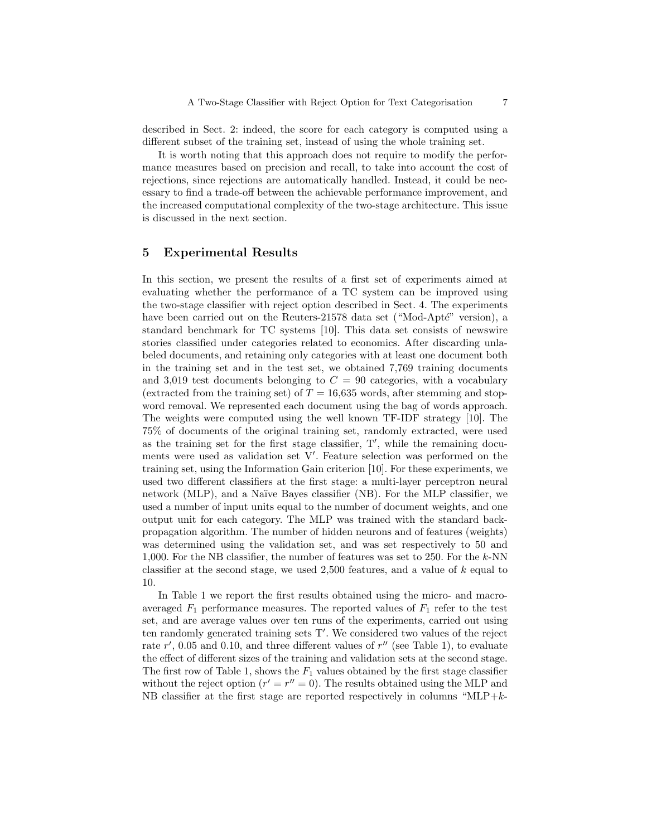described in Sect. 2: indeed, the score for each category is computed using a different subset of the training set, instead of using the whole training set.

It is worth noting that this approach does not require to modify the performance measures based on precision and recall, to take into account the cost of rejections, since rejections are automatically handled. Instead, it could be necessary to find a trade-off between the achievable performance improvement, and the increased computational complexity of the two-stage architecture. This issue is discussed in the next section.

#### 5 Experimental Results

In this section, we present the results of a first set of experiments aimed at evaluating whether the performance of a TC system can be improved using the two-stage classifier with reject option described in Sect. 4. The experiments have been carried out on the Reuters-21578 data set ("Mod-Apté" version), a standard benchmark for TC systems [10]. This data set consists of newswire stories classified under categories related to economics. After discarding unlabeled documents, and retaining only categories with at least one document both in the training set and in the test set, we obtained 7,769 training documents and 3,019 test documents belonging to  $C = 90$  categories, with a vocabulary (extracted from the training set) of  $T = 16,635$  words, after stemming and stopword removal. We represented each document using the bag of words approach. The weights were computed using the well known TF-IDF strategy [10]. The 75% of documents of the original training set, randomly extracted, were used as the training set for the first stage classifier,  $T'$ , while the remaining documents were used as validation set V'. Feature selection was performed on the training set, using the Information Gain criterion [10]. For these experiments, we used two different classifiers at the first stage: a multi-layer perceptron neural network (MLP), and a Naïve Bayes classifier (NB). For the MLP classifier, we used a number of input units equal to the number of document weights, and one output unit for each category. The MLP was trained with the standard backpropagation algorithm. The number of hidden neurons and of features (weights) was determined using the validation set, and was set respectively to 50 and 1,000. For the NB classifier, the number of features was set to 250. For the k-NN classifier at the second stage, we used  $2,500$  features, and a value of  $k$  equal to 10.

In Table 1 we report the first results obtained using the micro- and macroaveraged  $F_1$  performance measures. The reported values of  $F_1$  refer to the test set, and are average values over ten runs of the experiments, carried out using ten randomly generated training sets T'. We considered two values of the reject rate  $r'$ , 0.05 and 0.10, and three different values of  $r''$  (see Table 1), to evaluate the effect of different sizes of the training and validation sets at the second stage. The first row of Table 1, shows the  $F_1$  values obtained by the first stage classifier without the reject option  $(r' = r'' = 0)$ . The results obtained using the MLP and NB classifier at the first stage are reported respectively in columns "MLP+ $k$ -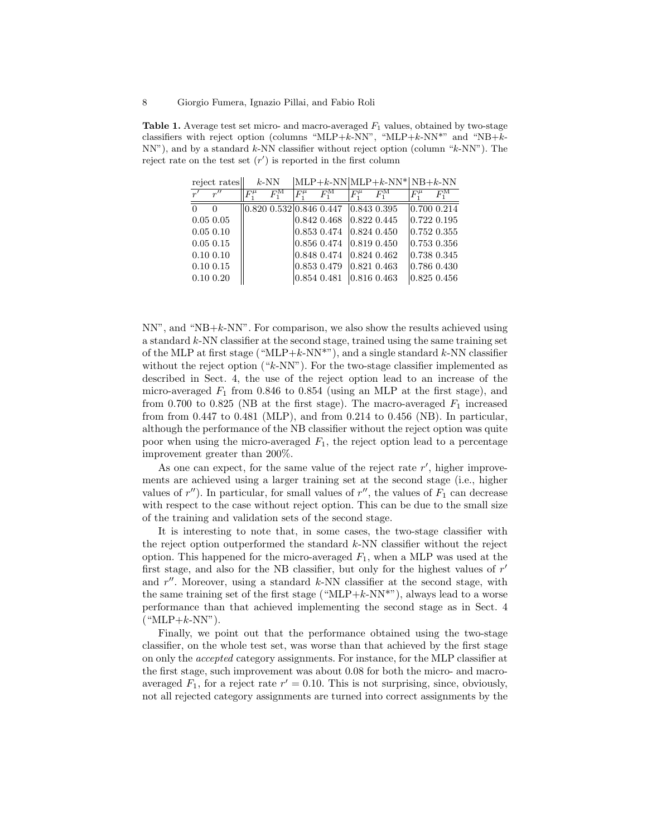**Table 1.** Average test set micro- and macro-averaged  $F_1$  values, obtained by two-stage classifiers with reject option (columns "MLP+ $k$ -NN", "MLP+ $k$ -NN<sup>\*"</sup> and "NB+ $k$ - $NN''$ , and by a standard k-NN classifier without reject option (column "k-NN"). The reject rate on the test set  $(r')$  is reported in the first column

| reject rates         |               | $k$ -NN             |             |                                                             |               | $ MLP+k-NN MLP+k-NN^* NB+k-NN$               |             |                             |
|----------------------|---------------|---------------------|-------------|-------------------------------------------------------------|---------------|----------------------------------------------|-------------|-----------------------------|
| r'<br>r''            | $F^{\mu}_{i}$ | $F_{\rm 1}^{\rm M}$ | $ F^{\mu} $ | $\overline{F^{\mathrm{M}}_{\mathrm{1}}}$                    | $F^{\mu}_{i}$ | $F_{\text{\tiny 1}}^{\overline{\mathrm{M}}}$ | $F^{\mu}$   | $F_1^{\overline{\text{M}}}$ |
| $\Omega$<br>$\Omega$ |               |                     |             | $\parallel$ 0.820 0.532 0.846 0.447 $\parallel$ 0.843 0.395 |               |                                              | 0.700 0.214 |                             |
| $0.05\ 0.05$         |               |                     |             | 0.842 0.468 0.822 0.445                                     |               |                                              | 0.722 0.195 |                             |
| 0.050.10             |               |                     |             | 0.853 0.474 0.824 0.450                                     |               |                                              | 0.752 0.355 |                             |
| $0.05\;0.15$         |               |                     |             | 0.856 0.474  0.819 0.450                                    |               |                                              | 0.753 0.356 |                             |
| $0.10\ 0.10$         |               |                     |             | $ 0.848\;0.474\; 0.824\;0.462$                              |               |                                              | 0.738 0.345 |                             |
| $0.10\ 0.15$         |               |                     |             | 0.853 0.479 0.821 0.463                                     |               |                                              | 0.786 0.430 |                             |
| $0.10\ 0.20$         |               |                     |             | 0.854 0.481 0.816 0.463                                     |               |                                              | 0.825 0.456 |                             |

 $NN^{\prime\prime}$ , and " $NB+k$ -NN". For comparison, we also show the results achieved using a standard k-NN classifier at the second stage, trained using the same training set of the MLP at first stage ("MLP+k-NN<sup>\*")</sup>, and a single standard k-NN classifier without the reject option ("k-NN"). For the two-stage classifier implemented as described in Sect. 4, the use of the reject option lead to an increase of the micro-averaged  $F_1$  from 0.846 to 0.854 (using an MLP at the first stage), and from 0.700 to 0.825 (NB at the first stage). The macro-averaged  $F_1$  increased from from 0.447 to 0.481 (MLP), and from 0.214 to 0.456 (NB). In particular, although the performance of the NB classifier without the reject option was quite poor when using the micro-averaged  $F_1$ , the reject option lead to a percentage improvement greater than 200%.

As one can expect, for the same value of the reject rate  $r'$ , higher improvements are achieved using a larger training set at the second stage (i.e., higher values of  $r''$ ). In particular, for small values of  $r''$ , the values of  $F_1$  can decrease with respect to the case without reject option. This can be due to the small size of the training and validation sets of the second stage.

It is interesting to note that, in some cases, the two-stage classifier with the reject option outperformed the standard  $k$ -NN classifier without the reject option. This happened for the micro-averaged  $F_1$ , when a MLP was used at the first stage, and also for the NB classifier, but only for the highest values of  $r'$ and  $r''$ . Moreover, using a standard  $k$ -NN classifier at the second stage, with the same training set of the first stage (" $MLP+k-NN^*$ "), always lead to a worse performance than that achieved implementing the second stage as in Sect. 4  $("MLP+k-NN")$ .

Finally, we point out that the performance obtained using the two-stage classifier, on the whole test set, was worse than that achieved by the first stage on only the accepted category assignments. For instance, for the MLP classifier at the first stage, such improvement was about 0.08 for both the micro- and macroaveraged  $F_1$ , for a reject rate  $r' = 0.10$ . This is not surprising, since, obviously, not all rejected category assignments are turned into correct assignments by the